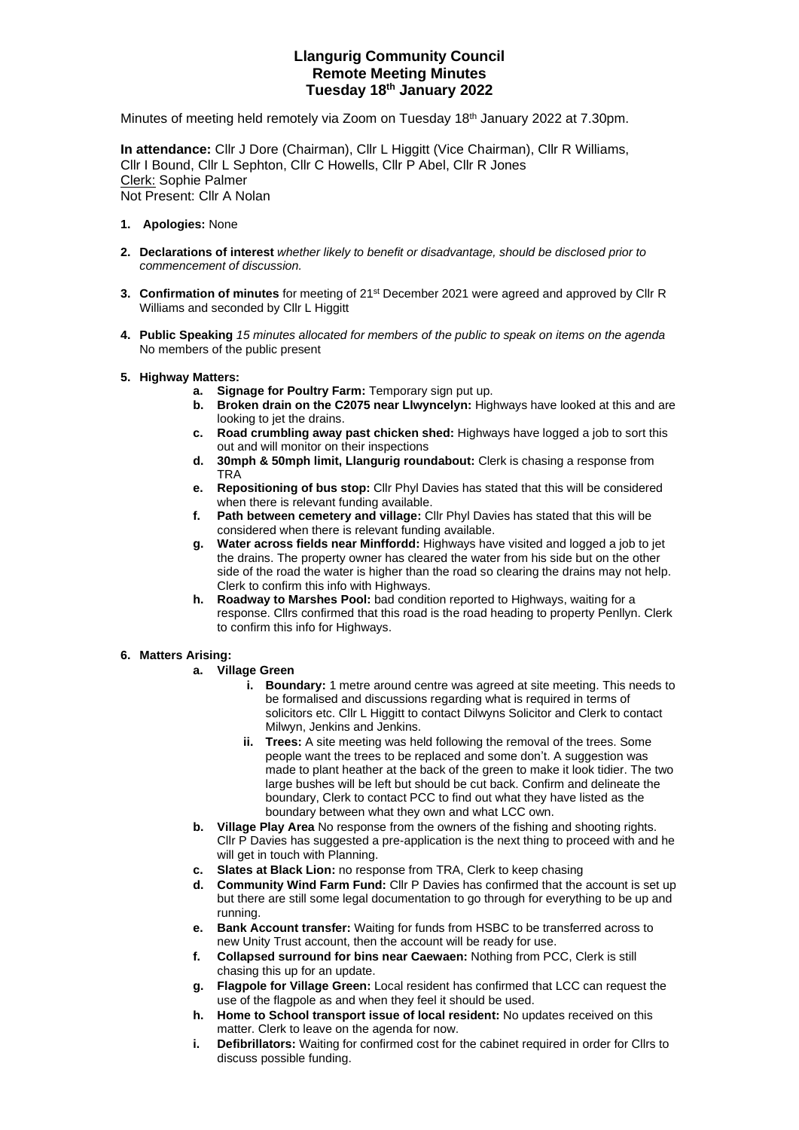# **Llangurig Community Council Remote Meeting Minutes Tuesday 18th January 2022**

Minutes of meeting held remotely via Zoom on Tuesday 18<sup>th</sup> January 2022 at 7.30pm.

**In attendance:** Cllr J Dore (Chairman), Cllr L Higgitt (Vice Chairman), Cllr R Williams, Cllr I Bound, Cllr L Sephton, Cllr C Howells, Cllr P Abel, Cllr R Jones Clerk: Sophie Palmer Not Present: Cllr A Nolan

- **1. Apologies:** None
- **2. Declarations of interest** *whether likely to benefit or disadvantage, should be disclosed prior to commencement of discussion.*
- **3. Confirmation of minutes** for meeting of 21st December 2021 were agreed and approved by Cllr R Williams and seconded by Cllr L Higgitt
- **4. Public Speaking** *15 minutes allocated for members of the public to speak on items on the agenda* No members of the public present
- **5. Highway Matters:** 
	-
	- **a. Signage for Poultry Farm:** Temporary sign put up. **Broken drain on the C2075 near Llwyncelyn:** Highways have looked at this and are looking to jet the drains.
	- **c. Road crumbling away past chicken shed:** Highways have logged a job to sort this out and will monitor on their inspections
	- **d. 30mph & 50mph limit, Llangurig roundabout:** Clerk is chasing a response from **TRA**
	- **e. Repositioning of bus stop:** Cllr Phyl Davies has stated that this will be considered when there is relevant funding available.
	- **f. Path between cemetery and village:** Cllr Phyl Davies has stated that this will be considered when there is relevant funding available.
	- **g. Water across fields near Minffordd:** Highways have visited and logged a job to jet the drains. The property owner has cleared the water from his side but on the other side of the road the water is higher than the road so clearing the drains may not help. Clerk to confirm this info with Highways.
	- **h. Roadway to Marshes Pool:** bad condition reported to Highways, waiting for a response. Cllrs confirmed that this road is the road heading to property Penllyn. Clerk to confirm this info for Highways.

## **6. Matters Arising:**

- **a. Village Green**
	- **i. Boundary:** 1 metre around centre was agreed at site meeting. This needs to be formalised and discussions regarding what is required in terms of solicitors etc. Cllr L Higgitt to contact Dilwyns Solicitor and Clerk to contact Milwyn, Jenkins and Jenkins.
	- **ii. Trees:** A site meeting was held following the removal of the trees. Some people want the trees to be replaced and some don't. A suggestion was made to plant heather at the back of the green to make it look tidier. The two large bushes will be left but should be cut back. Confirm and delineate the boundary, Clerk to contact PCC to find out what they have listed as the boundary between what they own and what LCC own.
- **b. Village Play Area** No response from the owners of the fishing and shooting rights. Cllr P Davies has suggested a pre-application is the next thing to proceed with and he will get in touch with Planning.
- **c. Slates at Black Lion:** no response from TRA, Clerk to keep chasing
- **d. Community Wind Farm Fund:** Cllr P Davies has confirmed that the account is set up but there are still some legal documentation to go through for everything to be up and running.
- **e. Bank Account transfer:** Waiting for funds from HSBC to be transferred across to new Unity Trust account, then the account will be ready for use.
- **f. Collapsed surround for bins near Caewaen:** Nothing from PCC, Clerk is still chasing this up for an update.
- **g. Flagpole for Village Green:** Local resident has confirmed that LCC can request the use of the flagpole as and when they feel it should be used.
- **h. Home to School transport issue of local resident:** No updates received on this matter. Clerk to leave on the agenda for now.
- **i. Defibrillators:** Waiting for confirmed cost for the cabinet required in order for Cllrs to discuss possible funding.